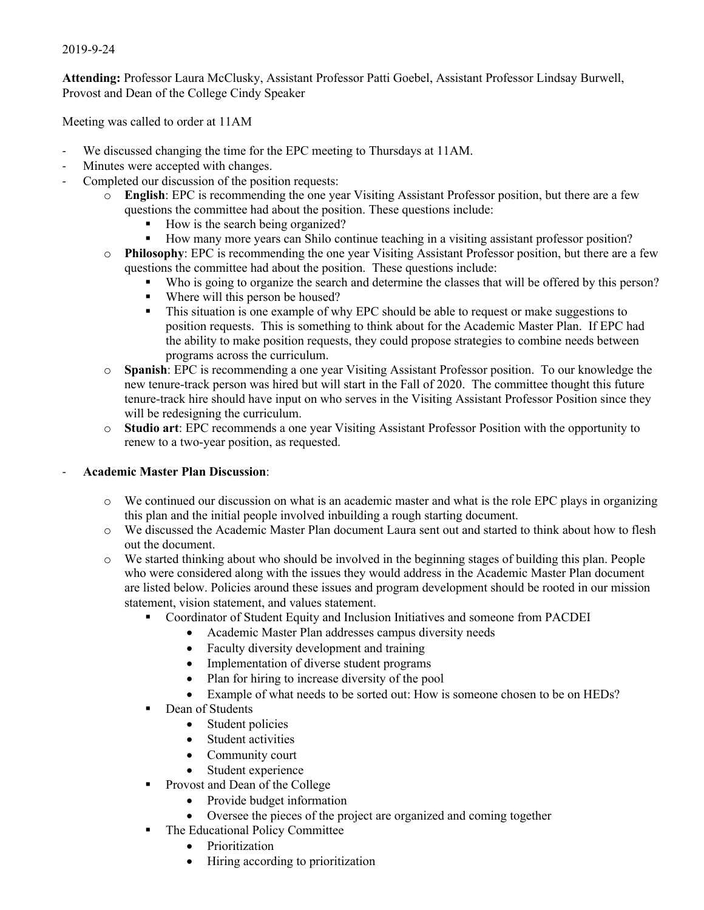## 2019-9-24

**Attending:** Professor Laura McClusky, Assistant Professor Patti Goebel, Assistant Professor Lindsay Burwell, Provost and Dean of the College Cindy Speaker

Meeting was called to order at 11AM

- We discussed changing the time for the EPC meeting to Thursdays at 11AM.
- Minutes were accepted with changes.
- Completed our discussion of the position requests:
	- o **English**: EPC is recommending the one year Visiting Assistant Professor position, but there are a few questions the committee had about the position. These questions include:
		- § How is the search being organized?
		- § How many more years can Shilo continue teaching in a visiting assistant professor position?
	- o **Philosophy**: EPC is recommending the one year Visiting Assistant Professor position, but there are a few questions the committee had about the position. These questions include:
		- Who is going to organize the search and determine the classes that will be offered by this person?
		- Where will this person be housed?
		- This situation is one example of why EPC should be able to request or make suggestions to position requests. This is something to think about for the Academic Master Plan. If EPC had the ability to make position requests, they could propose strategies to combine needs between programs across the curriculum.
	- o **Spanish**: EPC is recommending a one year Visiting Assistant Professor position. To our knowledge the new tenure-track person was hired but will start in the Fall of 2020. The committee thought this future tenure-track hire should have input on who serves in the Visiting Assistant Professor Position since they will be redesigning the curriculum.
	- o **Studio art**: EPC recommends a one year Visiting Assistant Professor Position with the opportunity to renew to a two-year position, as requested.

## - **Academic Master Plan Discussion**:

- o We continued our discussion on what is an academic master and what is the role EPC plays in organizing this plan and the initial people involved inbuilding a rough starting document.
- o We discussed the Academic Master Plan document Laura sent out and started to think about how to flesh out the document.
- o We started thinking about who should be involved in the beginning stages of building this plan. People who were considered along with the issues they would address in the Academic Master Plan document are listed below. Policies around these issues and program development should be rooted in our mission statement, vision statement, and values statement.
	- § Coordinator of Student Equity and Inclusion Initiatives and someone from PACDEI
		- Academic Master Plan addresses campus diversity needs
		- Faculty diversity development and training
		- Implementation of diverse student programs
		- Plan for hiring to increase diversity of the pool
		- Example of what needs to be sorted out: How is someone chosen to be on HEDs?
	- Dean of Students
		- Student policies
		- Student activities
		- Community court
		- Student experience
	- Provost and Dean of the College
		- Provide budget information
		- Oversee the pieces of the project are organized and coming together
	- The Educational Policy Committee
		- Prioritization
		- Hiring according to prioritization